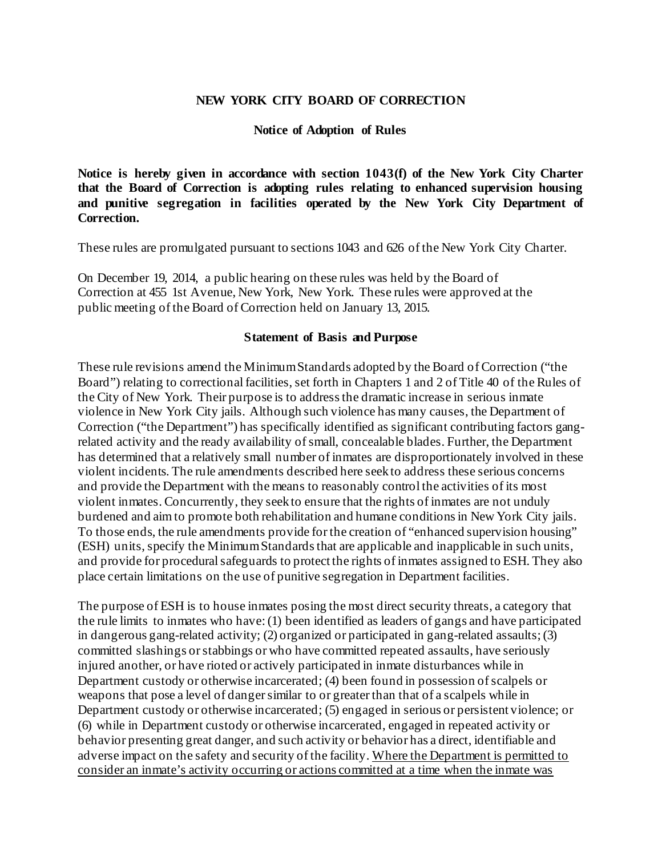#### **NEW YORK CITY BOARD OF CORRECTION**

#### **Notice of Adoption of Rules**

**Notice is hereby given in accordance with section 1043(f) of the New York City Charter that the Board of Correction is adopting rules relating to enhanced supervision housing and punitive segregation in facilities operated by the New York City Department of Correction.**

These rules are promulgated pursuant to sections 1043 and 626 of the New York City Charter.

On December 19, 2014, a public hearing on these rules was held by the Board of Correction at 455 1st Avenue, New York, New York. These rules were approved at the public meeting of the Board of Correction held on January 13, 2015.

#### **Statement of Basis and Purpose**

These rule revisions amend the Minimum Standards adopted by the Board of Correction ("the Board") relating to correctional facilities, set forth in Chapters 1 and 2 of Title 40 of the Rules of the City of New York. Their purpose is to address the dramatic increase in serious inmate violence in New York City jails. Although such violence has many causes, the Department of Correction ("the Department") has specifically identified as significant contributing factors gangrelated activity and the ready availability of small, concealable blades. Further, the Department has determined that a relatively small number of inmates are disproportionately involved in these violent incidents. The rule amendments described here seek to address these serious concerns and provide the Department with the means to reasonably control the activities of its most violent inmates. Concurrently, they seek to ensure that the rights of inmates are not unduly burdened and aim to promote both rehabilitation and humane conditions in New York City jails. To those ends, the rule amendments provide for the creation of "enhanced supervision housing" (ESH) units, specify the Minimum Standards that are applicable and inapplicable in such units, and provide for procedural safeguards to protect the rights of inmates assigned to ESH. They also place certain limitations on the use of punitive segregation in Department facilities.

The purpose of ESH is to house inmates posing the most direct security threats, a category that the rule limits to inmates who have: (1) been identified as leaders of gangs and have participated in dangerous gang-related activity; (2) organized or participated in gang-related assaults; (3) committed slashings or stabbings or who have committed repeated assaults, have seriously injured another, or have rioted or actively participated in inmate disturbances while in Department custody or otherwise incarcerated; (4) been found in possession of scalpels or weapons that pose a level of danger similar to or greater than that of a scalpels while in Department custody or otherwise incarcerated; (5) engaged in serious or persistent violence; or (6) while in Department custody or otherwise incarcerated, engaged in repeated activity or behavior presenting great danger, and such activity or behavior has a direct, identifiable and adverse impact on the safety and security of the facility. Where the Department is permitted to consider an inmate's activity occurring or actions committed at a time when the inmate was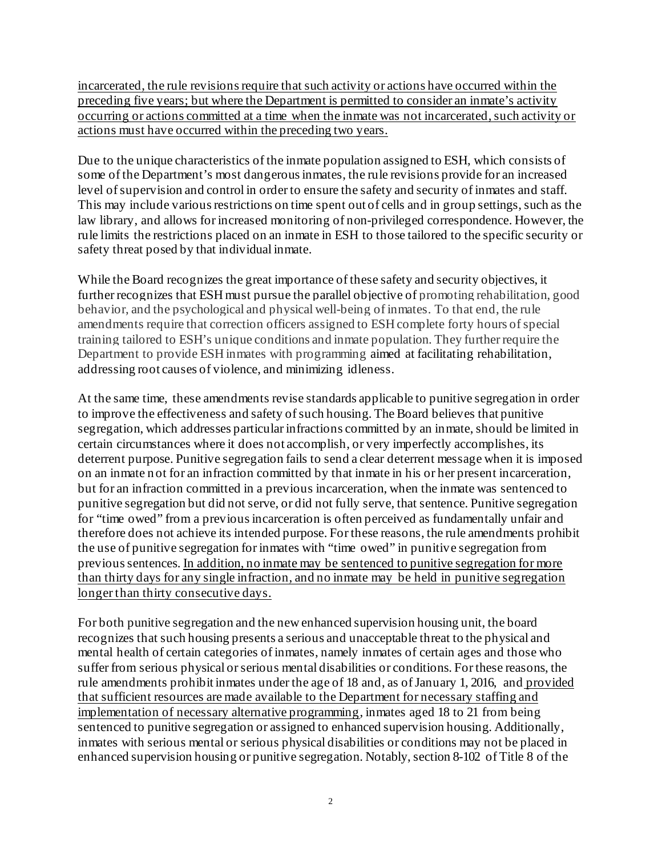incarcerated, the rule revisions require that such activity or actions have occurred within the preceding five years; but where the Department is permitted to consider an inmate's activity occurring or actions committed at a time when the inmate was not incarcerated, such activity or actions must have occurred within the preceding two years.

Due to the unique characteristics of the inmate population assigned to ESH, which consists of some of the Department's most dangerous inmates, the rule revisions provide for an increased level of supervision and control in order to ensure the safety and security of inmates and staff. This may include various restrictions on time spent out of cells and in group settings, such as the law library, and allows for increased monitoring of non-privileged correspondence. However, the rule limits the restrictions placed on an inmate in ESH to those tailored to the specific security or safety threat posed by that individual inmate.

While the Board recognizes the great importance of these safety and security objectives, it further recognizes that ESH must pursue the parallel objective of promoting rehabilitation, good behavior, and the psychological and physical well-being of inmates. To that end, the rule amendments require that correction officers assigned to ESH complete forty hours of special training tailored to ESH's unique conditions and inmate population. They further require the Department to provide ESH inmates with programming aimed at facilitating rehabilitation, addressing root causes of violence, and minimizing idleness.

At the same time, these amendments revise standards applicable to punitive segregation in order to improve the effectiveness and safety of such housing. The Board believes that punitive segregation, which addresses particular infractions committed by an inmate, should be limited in certain circumstances where it does not accomplish, or very imperfectly accomplishes, its deterrent purpose. Punitive segregation fails to send a clear deterrent message when it is imposed on an inmate not for an infraction committed by that inmate in his or her present incarceration, but for an infraction committed in a previous incarceration, when the inmate was sentenced to punitive segregation but did not serve, or did not fully serve, that sentence. Punitive segregation for "time owed" from a previous incarceration is often perceived as fundamentally unfair and therefore does not achieve its intended purpose. For these reasons, the rule amendments prohibit the use of punitive segregation for inmates with "time owed" in punitive segregation from previous sentences. In addition, no inmate may be sentenced to punitive segregation for more than thirty days for any single infraction, and no inmate may be held in punitive segregation longer than thirty consecutive days.

For both punitive segregation and the new enhanced supervision housing unit, the board recognizes that such housing presents a serious and unacceptable threat to the physical and mental health of certain categories of inmates, namely inmates of certain ages and those who suffer from serious physical or serious mental disabilities or conditions. For these reasons, the rule amendments prohibit inmates under the age of 18 and, as of January 1, 2016, and provided that sufficient resources are made available to the Department for necessary staffing and implementation of necessary alternative programming, inmates aged 18 to 21 from being sentenced to punitive segregation or assigned to enhanced supervision housing. Additionally, inmates with serious mental or serious physical disabilities or conditions may not be placed in enhanced supervision housing or punitive segregation. Notably, section 8-102 of Title 8 of the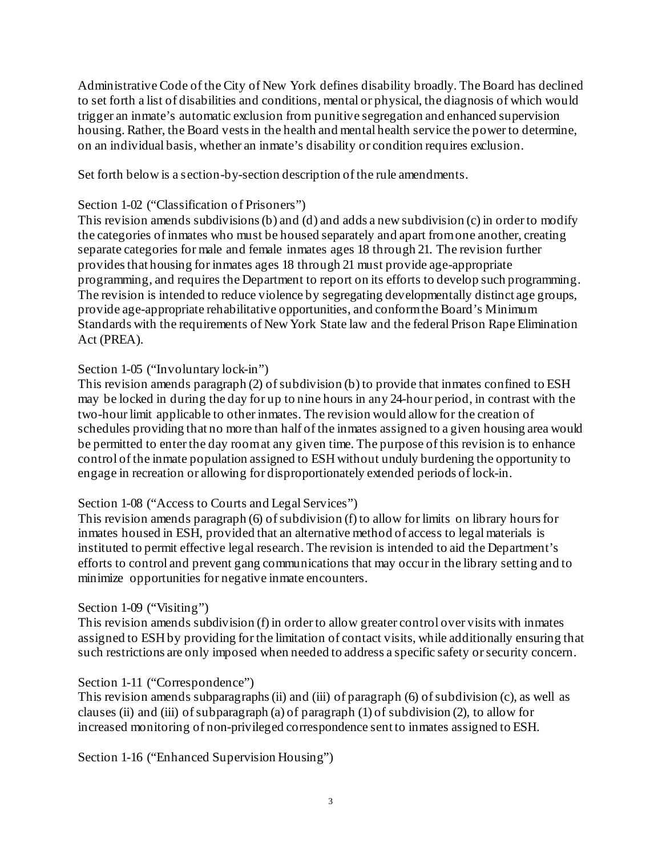Administrative Code of the City of New York defines disability broadly. The Board has declined to set forth a list of disabilities and conditions, mental or physical, the diagnosis of which would trigger an inmate's automatic exclusion from punitive segregation and enhanced supervision housing. Rather, the Board vests in the health and mental health service the power to determine, on an individual basis, whether an inmate's disability or condition requires exclusion.

Set forth below is a section-by-section description of the rule amendments.

### Section 1-02 ("Classification of Prisoners")

This revision amends subdivisions (b) and (d) and adds a new subdivision (c) in order to modify the categories of inmates who must be housed separately and apart from one another, creating separate categories for male and female inmates ages 18 through 21. The revision further provides that housing for inmates ages 18 through 21 must provide age-appropriate programming, and requires the Department to report on its efforts to develop such programming. The revision is intended to reduce violence by segregating developmentally distinct age groups, provide age-appropriate rehabilitative opportunities, and conform the Board's Minimum Standards with the requirements of New York State law and the federal Prison Rape Elimination Act (PREA).

## Section 1-05 ("Involuntary lock-in")

This revision amends paragraph (2) of subdivision (b) to provide that inmates confined to ESH may be locked in during the day for up to nine hours in any 24-hour period, in contrast with the two-hour limit applicable to other inmates. The revision would allow for the creation of schedules providing that no more than half of the inmates assigned to a given housing area would be permitted to enter the day room at any given time. The purpose of this revision is to enhance control of the inmate population assigned to ESH without unduly burdening the opportunity to engage in recreation or allowing for disproportionately extended periods of lock-in.

## Section 1-08 ("Access to Courts and Legal Services")

This revision amends paragraph (6) of subdivision (f) to allow for limits on library hours for inmates housed in ESH, provided that an alternative method of access to legal materials is instituted to permit effective legal research. The revision is intended to aid the Department's efforts to control and prevent gang communications that may occur in the library setting and to minimize opportunities for negative inmate encounters.

### Section 1-09 ("Visiting")

This revision amends subdivision (f) in order to allow greater control over visits with inmates assigned to ESH by providing for the limitation of contact visits, while additionally ensuring that such restrictions are only imposed when needed to address a specific safety or security concern.

### Section 1-11 ("Correspondence")

This revision amends subparagraphs (ii) and (iii) of paragraph (6) of subdivision (c), as well as clauses (ii) and (iii) of subparagraph (a) of paragraph (1) of subdivision (2), to allow for increased monitoring of non-privileged correspondence sent to inmates assigned to ESH.

Section 1-16 ("Enhanced Supervision Housing")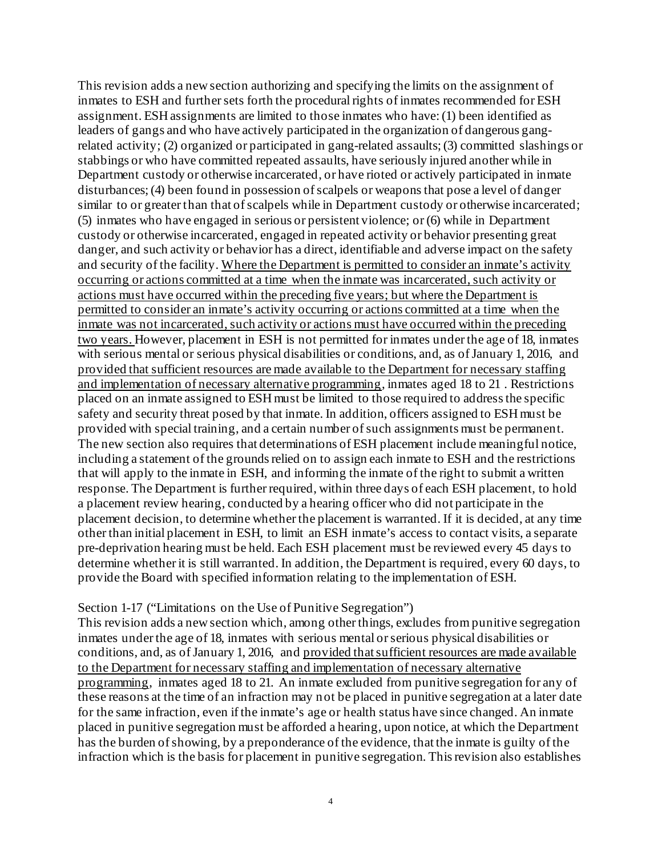This revision adds a new section authorizing and specifying the limits on the assignment of inmates to ESH and further sets forth the procedural rights of inmates recommended for ESH assignment. ESH assignments are limited to those inmates who have: (1) been identified as leaders of gangs and who have actively participated in the organization of dangerous gangrelated activity; (2) organized or participated in gang-related assaults; (3) committed slashings or stabbings or who have committed repeated assaults, have seriously injured another while in Department custody or otherwise incarcerated, or have rioted or actively participated in inmate disturbances; (4) been found in possession of scalpels or weapons that pose a level of danger similar to or greater than that of scalpels while in Department custody or otherwise incarcerated; (5) inmates who have engaged in serious or persistent violence; or (6) while in Department custody or otherwise incarcerated, engaged in repeated activity or behavior presenting great danger, and such activity or behavior has a direct, identifiable and adverse impact on the safety and security of the facility. Where the Department is permitted to consider an inmate's activity occurring or actions committed at a time when the inmate was incarcerated, such activity or actions must have occurred within the preceding five years; but where the Department is permitted to consider an inmate's activity occurring or actions committed at a time when the inmate was not incarcerated, such activity or actions must have occurred within the preceding two years. However, placement in ESH is not permitted for inmates under the age of 18, inmates with serious mental or serious physical disabilities or conditions, and, as of January 1, 2016, and provided that sufficient resources are made available to the Department for necessary staffing and implementation of necessary alternative programming, inmates aged 18 to 21 . Restrictions placed on an inmate assigned to ESH must be limited to those required to address the specific safety and security threat posed by that inmate. In addition, officers assigned to ESH must be provided with special training, and a certain number of such assignments must be permanent. The new section also requires that determinations of ESH placement include meaningful notice, including a statement of the grounds relied on to assign each inmate to ESH and the restrictions that will apply to the inmate in ESH, and informing the inmate of the right to submit a written response. The Department is further required, within three days of each ESH placement, to hold a placement review hearing, conducted by a hearing officer who did not participate in the placement decision, to determine whether the placement is warranted. If it is decided, at any time other than initial placement in ESH, to limit an ESH inmate's access to contact visits, a separate pre-deprivation hearing must be held. Each ESH placement must be reviewed every 45 days to determine whether it is still warranted. In addition, the Department is required, every 60 days, to provide the Board with specified information relating to the implementation of ESH.

#### Section 1-17 ("Limitations on the Use of Punitive Segregation")

This revision adds a new section which, among other things, excludes from punitive segregation inmates under the age of 18, inmates with serious mental or serious physical disabilities or conditions, and, as of January 1, 2016, and provided that sufficient resources are made available to the Department for necessary staffing and implementation of necessary alternative programming, inmates aged 18 to 21. An inmate excluded from punitive segregation for any of these reasons at the time of an infraction may not be placed in punitive segregation at a later date for the same infraction, even if the inmate's age or health status have since changed. An inmate placed in punitive segregation must be afforded a hearing, upon notice, at which the Department has the burden of showing, by a preponderance of the evidence, that the inmate is guilty of the infraction which is the basis for placement in punitive segregation. This revision also establishes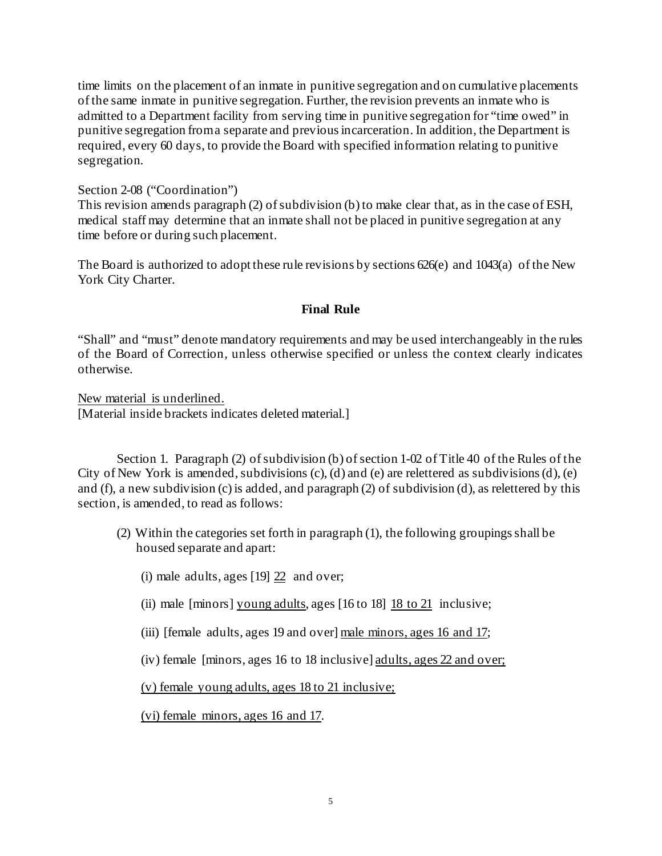time limits on the placement of an inmate in punitive segregation and on cumulative placements of the same inmate in punitive segregation. Further, the revision prevents an inmate who is admitted to a Department facility from serving time in punitive segregation for "time owed" in punitive segregation from a separate and previous incarceration. In addition, the Department is required, every 60 days, to provide the Board with specified information relating to punitive segregation.

#### Section 2-08 ("Coordination")

This revision amends paragraph (2) of subdivision (b) to make clear that, as in the case of ESH, medical staff may determine that an inmate shall not be placed in punitive segregation at any time before or during such placement.

The Board is authorized to adopt these rule revisions by sections  $626(e)$  and  $1043(a)$  of the New York City Charter.

### **Final Rule**

"Shall" and "must" denote mandatory requirements and may be used interchangeably in the rules of the Board of Correction, unless otherwise specified or unless the context clearly indicates otherwise.

New material is underlined. [Material inside brackets indicates deleted material.]

Section 1. Paragraph (2) of subdivision (b) of section 1-02 of Title 40 of the Rules of the City of New York is amended, subdivisions (c), (d) and (e) are relettered as subdivisions (d), (e) and (f), a new subdivision (c) is added, and paragraph (2) of subdivision (d), as relettered by this section, is amended, to read as follows:

(2) Within the categories set forth in paragraph (1), the following groupings shall be housed separate and apart:

(i) male adults, ages  $[19]$   $[22]$  and over;

- (ii) male [minors] young adults, ages [16 to 18] 18 to 21 inclusive;
- (iii) [female adults, ages 19 and over] male minors, ages 16 and 17;
- (iv) female [minors, ages 16 to 18 inclusive] adults, ages 22 and over;

(v) female young adults, ages 18 to 21 inclusive;

(vi) female minors, ages 16 and 17.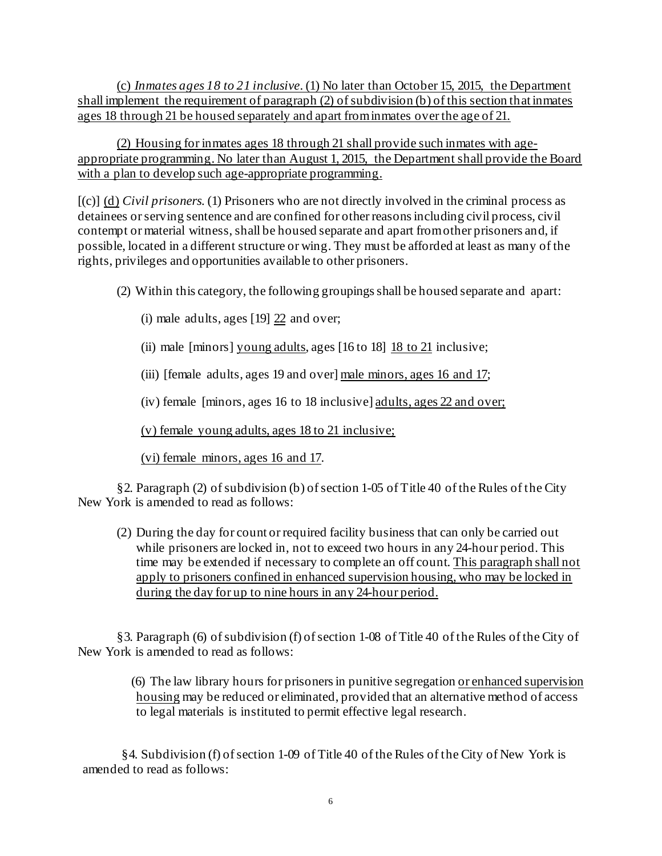(c) *Inmates ages 18 to 21 inclusive*. (1) No later than October 15, 2015, the Department shall implement the requirement of paragraph (2) of subdivision (b) of this section that inmates ages 18 through 21 be housed separately and apart from inmates over the age of 21.

(2) Housing for inmates ages 18 through 21 shall provide such inmates with ageappropriate programming. No later than August 1, 2015, the Department shall provide the Board with a plan to develop such age-appropriate programming.

[(c)] (d) *Civil prisoners.* (1) Prisoners who are not directly involved in the criminal process as detainees or serving sentence and are confined for other reasons including civil process, civil contempt or material witness, shall be housed separate and apart from other prisoners and, if possible, located in a different structure or wing. They must be afforded at least as many of the rights, privileges and opportunities available to other prisoners.

(2) Within this category, the following groupings shall be housed separate and apart:

- (i) male adults, ages  $[19]$   $22$  and over;
- (ii) male [minors] young adults, ages [16 to 18] 18 to 21 inclusive;

(iii) [female adults, ages 19 and over] male minors, ages 16 and 17;

(iv) female [minors, ages 16 to 18 inclusive] adults, ages 22 and over;

(v) female young adults, ages 18 to 21 inclusive;

(vi) female minors, ages 16 and 17.

§2. Paragraph (2) of subdivision (b) of section 1-05 of Title 40 of the Rules of the City New York is amended to read as follows:

(2) During the day for count or required facility business that can only be carried out while prisoners are locked in, not to exceed two hours in any 24-hour period. This time may be extended if necessary to complete an off count. This paragraph shall not apply to prisoners confined in enhanced supervision housing, who may be locked in during the day for up to nine hours in any 24-hour period.

§3. Paragraph (6) of subdivision (f) of section 1-08 of Title 40 of the Rules of the City of New York is amended to read as follows:

> (6) The law library hours for prisoners in punitive segregation or enhanced supervision housing may be reduced or eliminated, provided that an alternative method of access to legal materials is instituted to permit effective legal research.

§4. Subdivision (f) of section 1-09 of Title 40 of the Rules of the City of New York is amended to read as follows: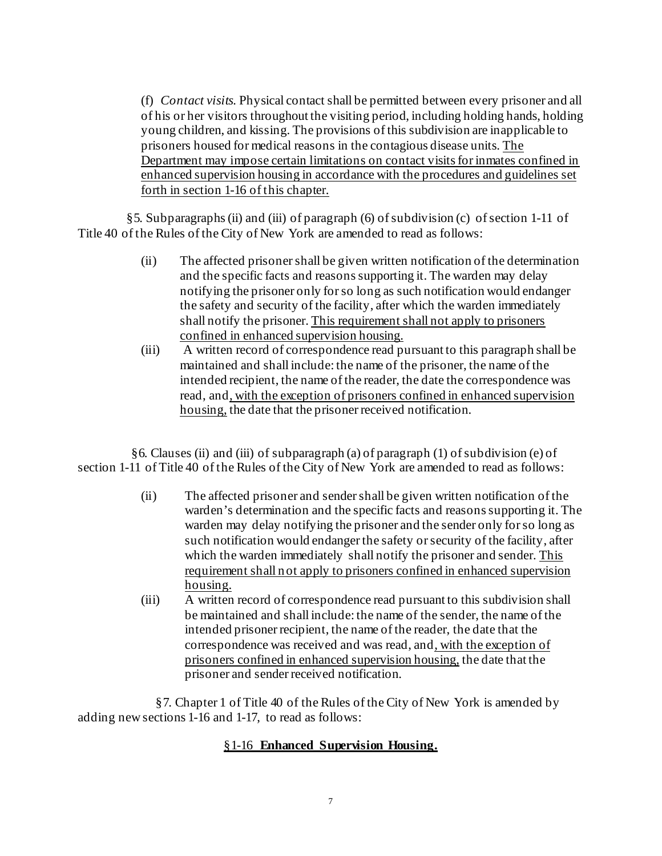(f) *Contact visits.* Physical contact shall be permitted between every prisoner and all of his or her visitors throughout the visiting period, including holding hands, holding young children, and kissing. The provisions of this subdivision are inapplicable to prisoners housed for medical reasons in the contagious disease units. The Department may impose certain limitations on contact visits for inmates confined in enhanced supervision housing in accordance with the procedures and guidelines set forth in section 1-16 of this chapter.

§5. Subparagraphs (ii) and (iii) of paragraph (6) of subdivision (c) of section 1-11 of Title 40 of the Rules of the City of New York are amended to read as follows:

- (ii) The affected prisoner shall be given written notification of the determination and the specific facts and reasons supporting it. The warden may delay notifying the prisoner only for so long as such notification would endanger the safety and security of the facility, after which the warden immediately shall notify the prisoner. This requirement shall not apply to prisoners confined in enhanced supervision housing.
- (iii) A written record of correspondence read pursuant to this paragraph shall be maintained and shall include: the name of the prisoner, the name of the intended recipient, the name of the reader, the date the correspondence was read, and, with the exception of prisoners confined in enhanced supervision housing, the date that the prisoner received notification.

 $§6$ . Clauses (ii) and (iii) of subparagraph (a) of paragraph (1) of subdivision (e) of section 1-11 of Title 40 of the Rules of the City of New York are amended to read as follows:

- (ii) The affected prisoner and sender shall be given written notification of the warden's determination and the specific facts and reasons supporting it. The warden may delay notifying the prisoner and the sender only for so long as such notification would endanger the safety or security of the facility, after which the warden immediately shall notify the prisoner and sender. This requirement shall not apply to prisoners confined in enhanced supervision housing.
- (iii) A written record of correspondence read pursuant to this subdivision shall be maintained and shall include: the name of the sender, the name of the intended prisoner recipient, the name of the reader, the date that the correspondence was received and was read, and, with the exception of prisoners confined in enhanced supervision housing, the date that the prisoner and sender received notification.

§7. Chapter 1 of Title 40 of the Rules of the City of New York is amended by adding new sections 1-16 and 1-17, to read as follows:

## §1-16 **Enhanced Supervision Housing.**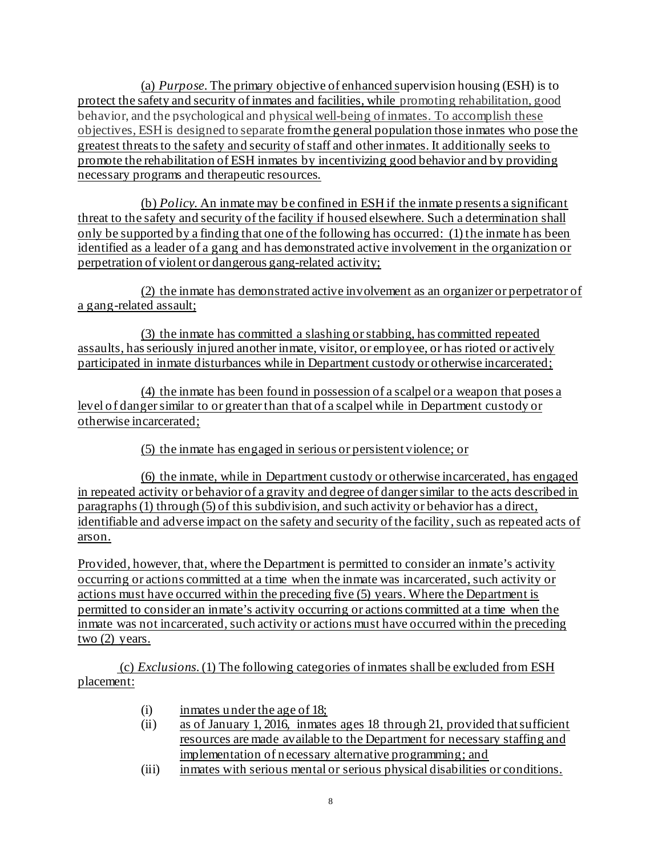(a) *Purpose*. The primary objective of enhanced supervision housing (ESH) is to protect the safety and security of inmates and facilities, while promoting rehabilitation, good behavior, and the psychological and physical well-being of inmates. To accomplish these objectives, ESH is designed to separate from the general population those inmates who pose the greatest threats to the safety and security of staff and other inmates. It additionally seeks to promote the rehabilitation of ESH inmates by incentivizing good behavior and by providing necessary programs and therapeutic resources.

(b) *Policy.* An inmate may be confined in ESH if the inmate presents a significant threat to the safety and security of the facility if housed elsewhere. Such a determination shall only be supported by a finding that one of the following has occurred: (1) the inmate has been identified as a leader of a gang and has demonstrated active involvement in the organization or perpetration of violent or dangerous gang-related activity;

(2) the inmate has demonstrated active involvement as an organizer or perpetrator of a gang-related assault;

(3) the inmate has committed a slashing or stabbing, has committed repeated assaults, has seriously injured another inmate, visitor, or employee, or has rioted or actively participated in inmate disturbances while in Department custody or otherwise incarcerated;

(4) the inmate has been found in possession of a scalpel or a weapon that poses a level of danger similar to or greater than that of a scalpel while in Department custody or otherwise incarcerated;

(5) the inmate has engaged in serious or persistent violence; or

(6) the inmate, while in Department custody or otherwise incarcerated, has engaged in repeated activity or behavior of a gravity and degree of danger similar to the acts described in paragraphs (1) through (5) of this subdivision, and such activity or behavior has a direct, identifiable and adverse impact on the safety and security of the facility, such as repeated acts of arson.

Provided, however, that, where the Department is permitted to consider an inmate's activity occurring or actions committed at a time when the inmate was incarcerated, such activity or actions must have occurred within the preceding five (5) years. Where the Department is permitted to consider an inmate's activity occurring or actions committed at a time when the inmate was not incarcerated, such activity or actions must have occurred within the preceding  $two (2) years.$ 

(c) *Exclusions*. (1) The following categories of inmates shall be excluded from ESH placement:

- (i) inmates under the age of 18;
- (ii) as of January 1, 2016, inmates ages 18 through 21, provided that sufficient resources are made available to the Department for necessary staffing and implementation of necessary alternative programming; and
- (iii) inmates with serious mental or serious physical disabilities or conditions.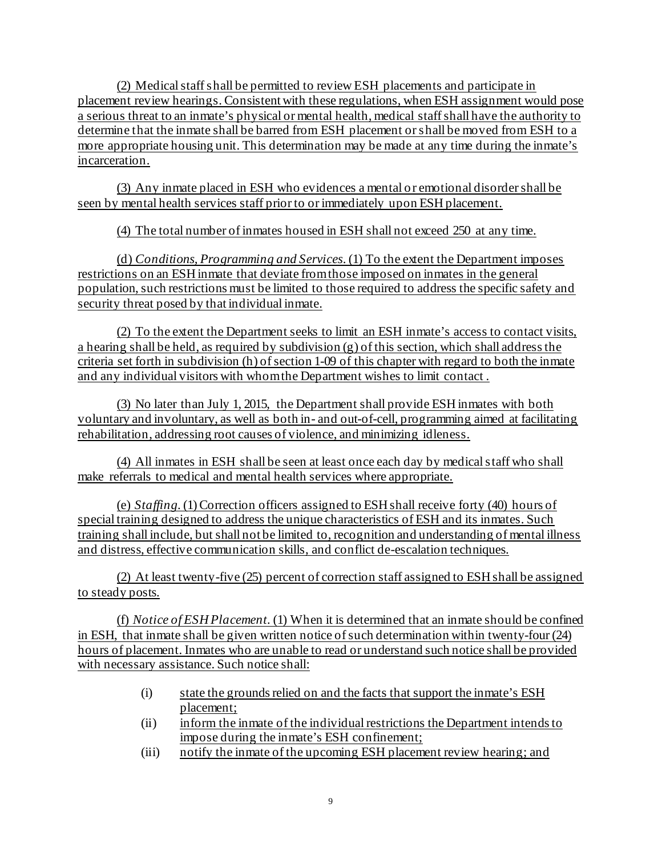(2) Medical staff shall be permitted to review ESH placements and participate in placement review hearings. Consistent with these regulations, when ESH assignment would pose a serious threat to an inmate's physical or mental health, medical staff shall have the authority to determine that the inmate shall be barred from ESH placement or shall be moved from ESH to a more appropriate housing unit. This determination may be made at any time during the inmate's incarceration.

(3) Any inmate placed in ESH who evidences a mental or emotional disorder shall be seen by mental health services staff prior to or immediately upon ESH placement.

(4) The total number of inmates housed in ESH shall not exceed 250 at any time.

(d) *Conditions, Programming and Services*. (1) To the extent the Department imposes restrictions on an ESH inmate that deviate from those imposed on inmates in the general population, such restrictions must be limited to those required to address the specific safety and security threat posed by that individual inmate.

(2) To the extent the Department seeks to limit an ESH inmate's access to contact visits, a hearing shall be held, as required by subdivision (g) of this section, which shall address the criteria set forth in subdivision (h) of section 1-09 of this chapter with regard to both the inmate and any individual visitors with whom the Department wishes to limit contact .

(3) No later than July 1, 2015, the Department shall provide ESH inmates with both voluntary and involuntary, as well as both in- and out-of-cell, programming aimed at facilitating rehabilitation, addressing root causes of violence, and minimizing idleness.

(4) All inmates in ESH shall be seen at least once each day by medical staff who shall make referrals to medical and mental health services where appropriate.

(e) *Staffing*. (1) Correction officers assigned to ESH shall receive forty (40) hours of special training designed to address the unique characteristics of ESH and its inmates. Such training shall include, but shall not be limited to, recognition and understanding of mental illness and distress, effective communication skills, and conflict de-escalation techniques.

(2) At least twenty-five (25) percent of correction staff assigned to ESH shall be assigned to steady posts.

(f) *Notice of ESH Placement.* (1) When it is determined that an inmate should be confined in ESH, that inmate shall be given written notice of such determination within twenty-four (24) hours of placement. Inmates who are unable to read or understand such notice shall be provided with necessary assistance. Such notice shall:

- (i) state the grounds relied on and the facts that support the inmate's ESH placement;
- (ii) inform the inmate of the individual restrictions the Department intends to impose during the inmate's ESH confinement;
- (iii) notify the inmate of the upcoming ESH placement review hearing; and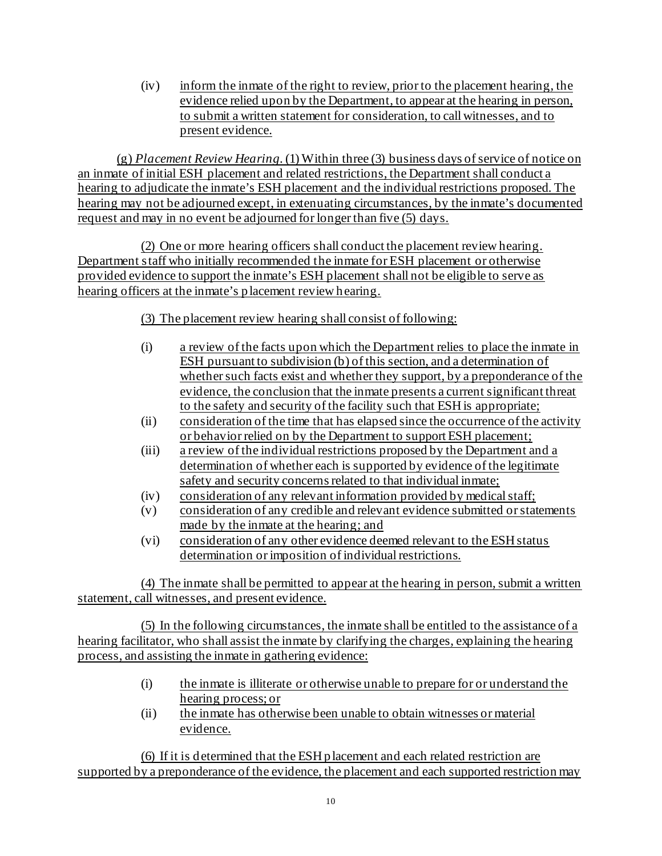(iv) inform the inmate of the right to review, prior to the placement hearing, the evidence relied upon by the Department, to appear at the hearing in person, to submit a written statement for consideration, to call witnesses, and to present evidence.

(g) *Placement Review Hearing*. (1) Within three (3) business days of service of notice on an inmate of initial ESH placement and related restrictions, the Department shall conduct a hearing to adjudicate the inmate's ESH placement and the individual restrictions proposed. The hearing may not be adjourned except, in extenuating circumstances, by the inmate's documented request and may in no event be adjourned for longer than five (5) days.

(2) One or more hearing officers shall conduct the placement review hearing. Department staff who initially recommended the inmate for ESH placement or otherwise provided evidence to support the inmate's ESH placement shall not be eligible to serve as hearing officers at the inmate's placement review hearing.

(3) The placement review hearing shall consist of following:

- (i) a review of the facts upon which the Department relies to place the inmate in ESH pursuant to subdivision (b) of this section, and a determination of whether such facts exist and whether they support, by a preponderance of the evidence, the conclusion that the inmate presents a current significant threat to the safety and security of the facility such that ESH is appropriate;
- (ii) consideration of the time that has elapsed since the occurrence of the activity or behavior relied on by the Department to support ESH placement;
- (iii) a review of the individual restrictions proposed by the Department and a determination of whether each is supported by evidence of the legitimate safety and security concerns related to that individual inmate;
- (iv) consideration of any relevant information provided by medical staff;
- (v) consideration of any credible and relevant evidence submitted or statements made by the inmate at the hearing; and
- (vi) consideration of any other evidence deemed relevant to the ESH status determination or imposition of individual restrictions.

(4) The inmate shall be permitted to appear at the hearing in person, submit a written statement, call witnesses, and present evidence.

(5) In the following circumstances, the inmate shall be entitled to the assistance of a hearing facilitator, who shall assist the inmate by clarifying the charges, explaining the hearing process, and assisting the inmate in gathering evidence:

- (i) the inmate is illiterate or otherwise unable to prepare for or understand the hearing process; or
- (ii) the inmate has otherwise been unable to obtain witnesses or material evidence.

(6) If it is determined that the ESH placement and each related restriction are supported by a preponderance of the evidence, the placement and each supported restriction may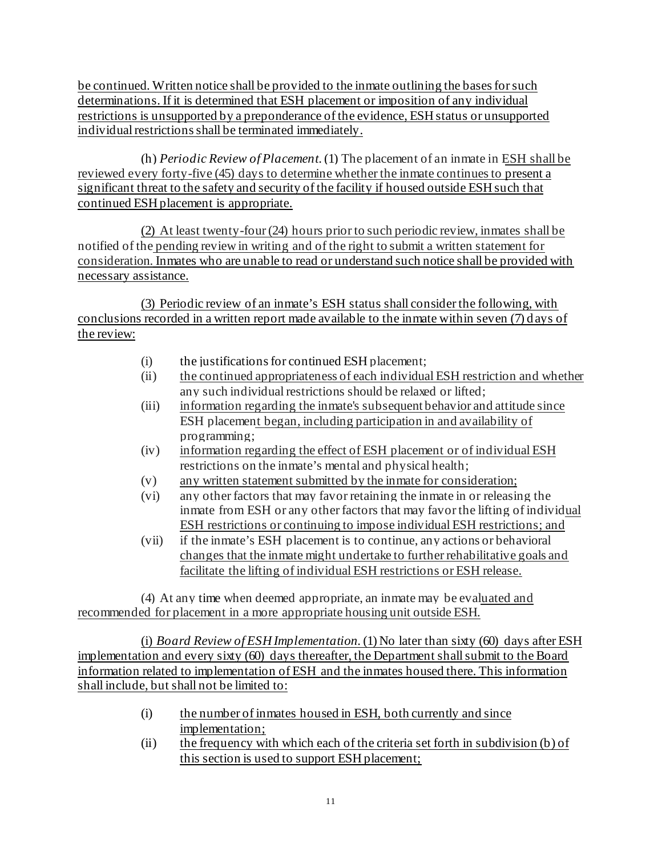be continued. Written notice shall be provided to the inmate outlining the bases for such determinations. If it is determined that ESH placement or imposition of any individual restrictions is unsupported by a preponderance of the evidence, ESH status or unsupported individual restrictions shall be terminated immediately.

(h) *Periodic Review of Placement*. (1) The placement of an inmate in ESH shall be reviewed every forty-five (45) days to determine whether the inmate continues to present a significant threat to the safety and security of the facility if housed outside ESH such that continued ESH placement is appropriate.

(2) At least twenty-four (24) hours prior to such periodic review, inmates shall be notified of the pending review in writing and of the right to submit a written statement for consideration. Inmates who are unable to read or understand such notice shall be provided with necessary assistance.

(3) Periodic review of an inmate's ESH status shall consider the following, with conclusions recorded in a written report made available to the inmate within seven (7) days of the review:

- (i) the justifications for continued ESH placement;
- (ii) the continued appropriateness of each individual ESH restriction and whether any such individual restrictions should be relaxed or lifted;
- (iii) information regarding the inmate's subsequent behavior and attitude since ESH placement began, including participation in and availability of programming;
- (iv) information regarding the effect of ESH placement or of individual ESH restrictions on the inmate's mental and physical health;
- (v) any written statement submitted by the inmate for consideration;
- (vi) any other factors that may favor retaining the inmate in or releasing the inmate from ESH or any other factors that may favor the lifting of individual ESH restrictions or continuing to impose individual ESH restrictions; and
- (vii) if the inmate's ESH placement is to continue, any actions or behavioral changes that the inmate might undertake to further rehabilitative goals and facilitate the lifting of individual ESH restrictions or ESH release.

(4) At any time when deemed appropriate, an inmate may be evaluated and recommended for placement in a more appropriate housing unit outside ESH.

(i) *Board Review of ESH Implementation*. (1) No later than sixty (60) days after ESH implementation and every sixty (60) days thereafter, the Department shall submit to the Board information related to implementation of ESH and the inmates housed there. This information shall include, but shall not be limited to:

- (i) the number of inmates housed in ESH, both currently and since implementation;
- (ii) the frequency with which each of the criteria set forth in subdivision (b) of this section is used to support ESH placement;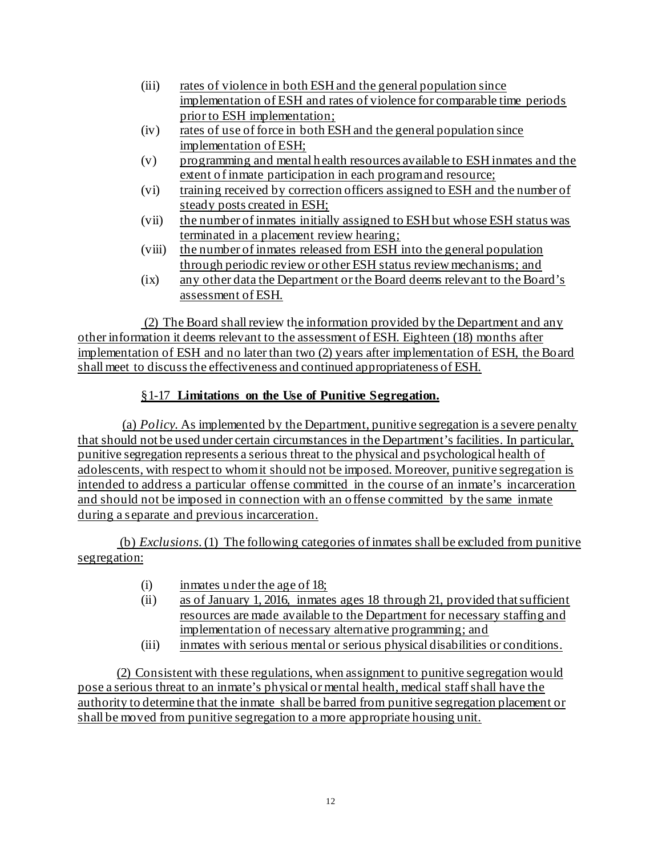- (iii) rates of violence in both ESH and the general population since implementation of ESH and rates of violence for comparable time periods prior to ESH implementation;
- (iv) rates of use of force in both ESH and the general population since implementation of ESH;
- (v) programming and mental health resources available to ESH inmates and the extent of inmate participation in each program and resource;
- (vi) training received by correction officers assigned to ESH and the number of steady posts created in ESH;
- (vii) the number of inmates initially assigned to ESH but whose ESH status was terminated in a placement review hearing;
- (viii) the number of inmates released from ESH into the general population through periodic review or other ESH status review mechanisms; and
- (ix) any other data the Department or the Board deems relevant to the Board's assessment of ESH.

(2) The Board shall review the information provided by the Department and any other information it deems relevant to the assessment of ESH. Eighteen (18) months after implementation of ESH and no later than two (2) years after implementation of ESH, the Board shall meet to discuss the effectiveness and continued appropriateness of ESH.

# §1-17 **Limitations on the Use of Punitive Segregation.**

(a) *Policy.* As implemented by the Department, punitive segregation is a severe penalty that should not be used under certain circumstances in the Department's facilities. In particular, punitive segregation represents a serious threat to the physical and psychological health of adolescents, with respect to whom it should not be imposed. Moreover, punitive segregation is intended to address a particular offense committed in the course of an inmate's incarceration and should not be imposed in connection with an offense committed by the same inmate during a separate and previous incarceration.

(b) *Exclusions*. (1) The following categories of inmates shall be excluded from punitive segregation:

- (i) inmates under the age of 18;
- (ii) as of January 1, 2016, inmates ages 18 through 21, provided that sufficient resources are made available to the Department for necessary staffing and implementation of necessary alternative programming; and
- (iii) inmates with serious mental or serious physical disabilities or conditions.

(2) Consistent with these regulations, when assignment to punitive segregation would pose a serious threat to an inmate's physical or mental health, medical staff shall have the authority to determine that the inmate shall be barred from punitive segregation placement or shall be moved from punitive segregation to a more appropriate housing unit.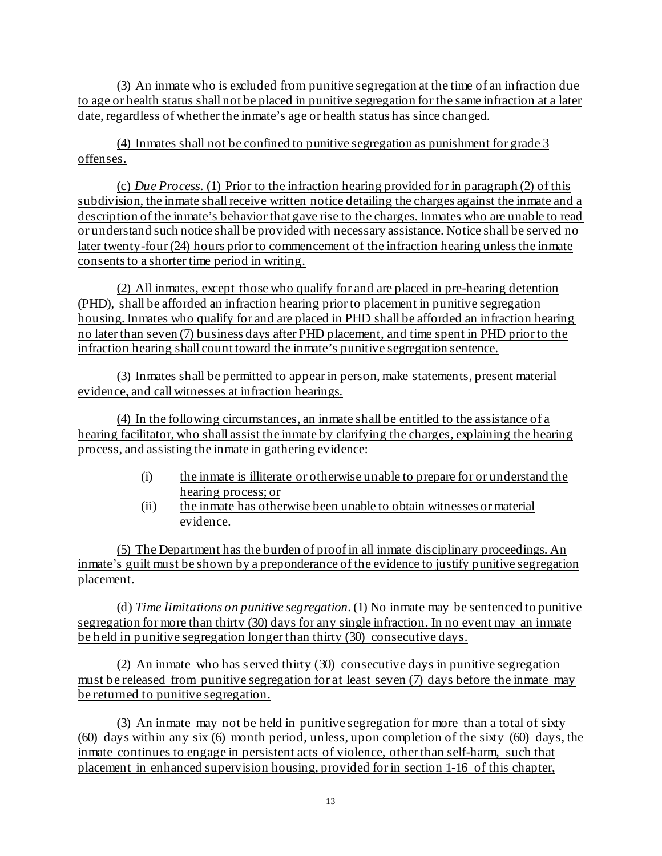(3) An inmate who is excluded from punitive segregation at the time of an infraction due to age or health status shall not be placed in punitive segregation for the same infraction at a later date, regardless of whether the inmate's age or health status has since changed.

(4) Inmates shall not be confined to punitive segregation as punishment for grade 3 offenses.

(c) *Due Process*. (1) Prior to the infraction hearing provided for in paragraph (2) of this subdivision, the inmate shall receive written notice detailing the charges against the inmate and a description of the inmate's behavior that gave rise to the charges. Inmates who are unable to read or understand such notice shall be provided with necessary assistance. Notice shall be served no later twenty-four (24) hours prior to commencement of the infraction hearing unless the inmate consents to a shorter time period in writing.

(2) All inmates, except those who qualify for and are placed in pre-hearing detention (PHD), shall be afforded an infraction hearing prior to placement in punitive segregation housing. Inmates who qualify for and are placed in PHD shall be afforded an infraction hearing no later than seven (7) business days after PHD placement, and time spent in PHD prior to the infraction hearing shall count toward the inmate's punitive segregation sentence.

(3) Inmates shall be permitted to appear in person, make statements, present material evidence, and call witnesses at infraction hearings.

(4) In the following circumstances, an inmate shall be entitled to the assistance of a hearing facilitator, who shall assist the inmate by clarifying the charges, explaining the hearing process, and assisting the inmate in gathering evidence:

- (i) the inmate is illiterate or otherwise unable to prepare for or understand the hearing process; or
- (ii) the inmate has otherwise been unable to obtain witnesses or material evidence.

(5) The Department has the burden of proof in all inmate disciplinary proceedings. An inmate's guilt must be shown by a preponderance of the evidence to justify punitive segregation placement.

(d) *Time limitations on punitive segregation*. (1) No inmate may be sentenced to punitive segregation for more than thirty (30) days for any single infraction. In no event may an inmate be held in punitive segregation longer than thirty (30) consecutive days.

(2) An inmate who has served thirty (30) consecutive days in punitive segregation must be released from punitive segregation for at least seven (7) days before the inmate may be returned to punitive segregation.

(3) An inmate may not be held in punitive segregation for more than a total of sixty (60) days within any six (6) month period, unless, upon completion of the sixty (60) days, the inmate continues to engage in persistent acts of violence, other than self-harm, such that placement in enhanced supervision housing, provided for in section 1-16 of this chapter,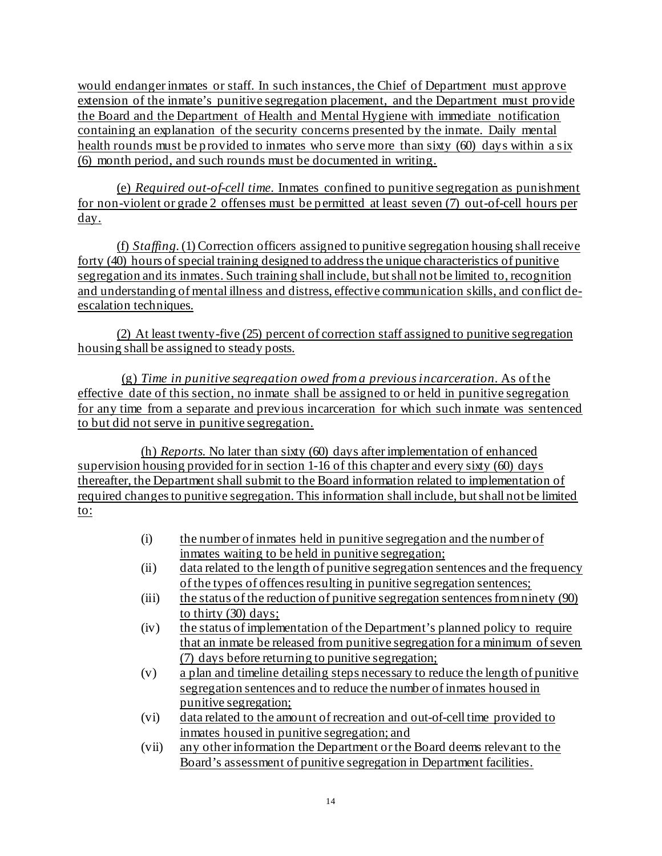would endanger inmates or staff. In such instances, the Chief of Department must approve extension of the inmate's punitive segregation placement, and the Department must provide the Board and the Department of Health and Mental Hygiene with immediate notification containing an explanation of the security concerns presented by the inmate. Daily mental health rounds must be provided to inmates who serve more than sixty (60) days within a six (6) month period, and such rounds must be documented in writing.

(e) *Required out-of-cell time*. Inmates confined to punitive segregation as punishment for non-violent or grade 2 offenses must be permitted at least seven (7) out-of-cell hours per day.

(f) *Staffing*. (1) Correction officers assigned to punitive segregation housing shall receive forty (40) hours of special training designed to address the unique characteristics of punitive segregation and its inmates. Such training shall include, but shall not be limited to, recognition and understanding of mental illness and distress, effective communication skills, and conflict deescalation techniques.

(2) At least twenty-five (25) percent of correction staff assigned to punitive segregation housing shall be assigned to steady posts.

(g) *Time in punitive segregation owed from a previous incarceration.* As of the effective date of this section, no inmate shall be assigned to or held in punitive segregation for any time from a separate and previous incarceration for which such inmate was sentenced to but did not serve in punitive segregation.

(h) *Reports.* No later than sixty (60) days after implementation of enhanced supervision housing provided for in section 1-16 of this chapter and every sixty (60) days thereafter, the Department shall submit to the Board information related to implementation of required changes to punitive segregation. This information shall include, but shall not be limited to:

- (i) the number of inmates held in punitive segregation and the number of inmates waiting to be held in punitive segregation;
- (ii) data related to the length of punitive segregation sentences and the frequency of the types of offences resulting in punitive segregation sentences;
- (iii) the status of the reduction of punitive segregation sentences from ninety (90) to thirty (30) days;
- (iv) the status of implementation of the Department's planned policy to require that an inmate be released from punitive segregation for a minimum of seven (7) days before returning to punitive segregation;
- (v) a plan and timeline detailing steps necessary to reduce the length of punitive segregation sentences and to reduce the number of inmates housed in punitive segregation;
- (vi) data related to the amount of recreation and out-of-cell time provided to inmates housed in punitive segregation; and
- (vii) any other information the Department or the Board deems relevant to the Board's assessment of punitive segregation in Department facilities.